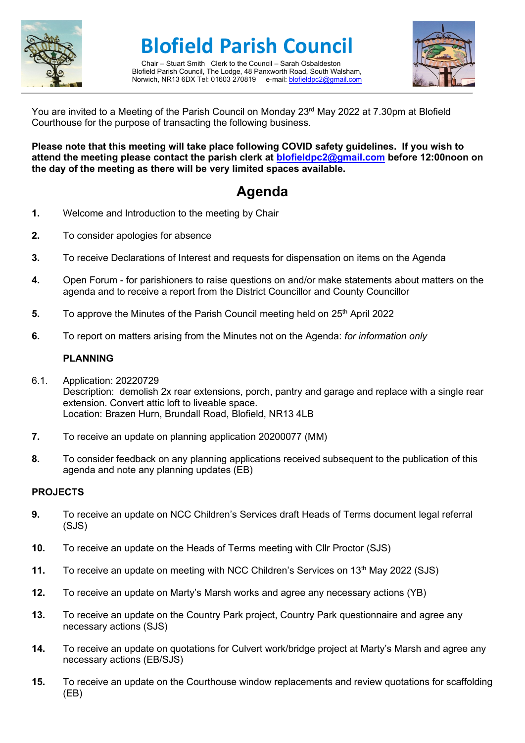

**Blofield Parish Council**

Chair – Stuart Smith Clerk to the Council – Sarah Osbaldeston Blofield Parish Council, The Lodge, 48 Panxworth Road, South Walsham, Norwich, NR13 6DX Tel: 01603 270819 e-mail[: blofieldpc2@gmail.com](mailto:blofieldpc2@gmail.com)



You are invited to a Meeting of the Parish Council on Monday 23<sup>rd</sup> May 2022 at 7.30pm at Blofield Courthouse for the purpose of transacting the following business.

**Please note that this meeting will take place following COVID safety guidelines. If you wish to attend the meeting please contact the parish clerk at [blofieldpc2@gmail.com](mailto:blofieldpc2@gmail.com) before 12:00noon on the day of the meeting as there will be very limited spaces available.** 

# **Agenda**

- **1.** Welcome and Introduction to the meeting by Chair
- **2.** To consider apologies for absence
- **3.** To receive Declarations of Interest and requests for dispensation on items on the Agenda
- **4.** Open Forum for parishioners to raise questions on and/or make statements about matters on the agenda and to receive a report from the District Councillor and County Councillor
- **5.** To approve the Minutes of the Parish Council meeting held on 25<sup>th</sup> April 2022
- **6.** To report on matters arising from the Minutes not on the Agenda: *for information only*

## **PLANNING**

- 6.1. Application: 20220729 Description: demolish 2x rear extensions, porch, pantry and garage and replace with a single rear extension. Convert attic loft to liveable space. Location: Brazen Hurn, Brundall Road, Blofield, NR13 4LB
- **7.** To receive an update on planning application 20200077 (MM)
- **8.** To consider feedback on any planning applications received subsequent to the publication of this agenda and note any planning updates (EB)

## **PROJECTS**

- **9.** To receive an update on NCC Children's Services draft Heads of Terms document legal referral (SJS)
- **10.** To receive an update on the Heads of Terms meeting with Cllr Proctor (SJS)
- **11.** To receive an update on meeting with NCC Children's Services on 13<sup>th</sup> May 2022 (SJS)
- **12.** To receive an update on Marty's Marsh works and agree any necessary actions (YB)
- **13.** To receive an update on the Country Park project, Country Park questionnaire and agree any necessary actions (SJS)
- **14.** To receive an update on quotations for Culvert work/bridge project at Marty's Marsh and agree any necessary actions (EB/SJS)
- **15.** To receive an update on the Courthouse window replacements and review quotations for scaffolding (EB)